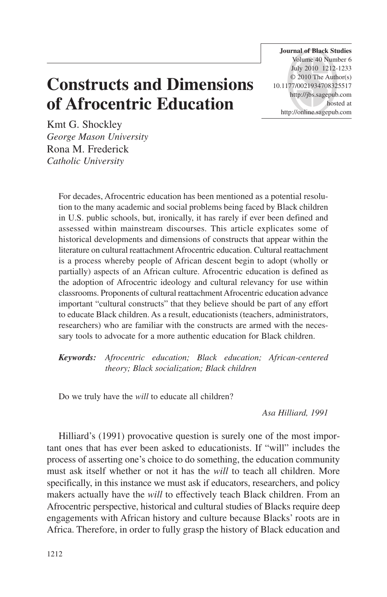# **Constructs and Dimensions of Afrocentric Education**

**Journal of Black Studies** Volume 40 Number 6 July 2010 1212-1233 © 2010 The Author(s) 10.1177/0021934708325517 http://jbs.sagepub.com hosted at http://online.sagepub.com

Kmt G. Shockley *George Mason University* Rona M. Frederick *Catholic University*

> For decades, Afrocentric education has been mentioned as a potential resolution to the many academic and social problems being faced by Black children in U.S. public schools, but, ironically, it has rarely if ever been defined and assessed within mainstream discourses. This article explicates some of historical developments and dimensions of constructs that appear within the literature on cultural reattachment Afrocentric education. Cultural reattachment is a process whereby people of African descent begin to adopt (wholly or partially) aspects of an African culture. Afrocentric education is defined as the adoption of Afrocentric ideology and cultural relevancy for use within classrooms. Proponents of cultural reattachment Afrocentric education advance important "cultural constructs" that they believe should be part of any effort to educate Black children. As a result, educationists (teachers, administrators, researchers) who are familiar with the constructs are armed with the necessary tools to advocate for a more authentic education for Black children.

> *Keywords: Afrocentric education; Black education; African-centered theory; Black socialization; Black children*

Do we truly have the *will* to educate all children?

*Asa Hilliard, 1991*

Hilliard's (1991) provocative question is surely one of the most important ones that has ever been asked to educationists. If "will" includes the process of asserting one's choice to do something, the education community must ask itself whether or not it has the *will* to teach all children. More specifically, in this instance we must ask if educators, researchers, and policy makers actually have the *will* to effectively teach Black children. From an Afrocentric perspective, historical and cultural studies of Blacks require deep engagements with African history and culture because Blacks' roots are in Africa. Therefore, in order to fully grasp the history of Black education and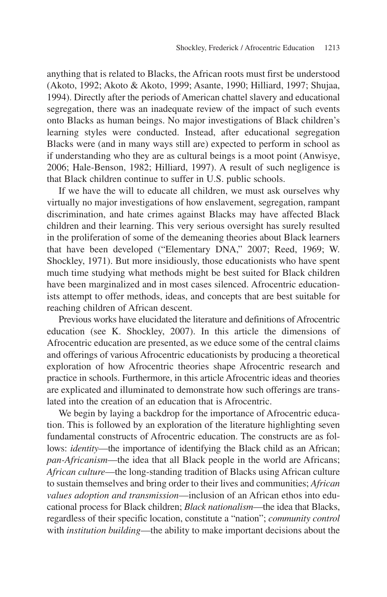anything that is related to Blacks, the African roots must first be understood (Akoto, 1992; Akoto & Akoto, 1999; Asante, 1990; Hilliard, 1997; Shujaa, 1994). Directly after the periods of American chattel slavery and educational segregation, there was an inadequate review of the impact of such events onto Blacks as human beings. No major investigations of Black children's learning styles were conducted. Instead, after educational segregation Blacks were (and in many ways still are) expected to perform in school as if understanding who they are as cultural beings is a moot point (Anwisye, 2006; Hale-Benson, 1982; Hilliard, 1997). A result of such negligence is that Black children continue to suffer in U.S. public schools.

If we have the will to educate all children, we must ask ourselves why virtually no major investigations of how enslavement, segregation, rampant discrimination, and hate crimes against Blacks may have affected Black children and their learning. This very serious oversight has surely resulted in the proliferation of some of the demeaning theories about Black learners that have been developed ("Elementary DNA," 2007; Reed, 1969; W. Shockley, 1971). But more insidiously, those educationists who have spent much time studying what methods might be best suited for Black children have been marginalized and in most cases silenced. Afrocentric educationists attempt to offer methods, ideas, and concepts that are best suitable for reaching children of African descent.

Previous works have elucidated the literature and definitions of Afrocentric education (see K. Shockley, 2007). In this article the dimensions of Afrocentric education are presented, as we educe some of the central claims and offerings of various Afrocentric educationists by producing a theoretical exploration of how Afrocentric theories shape Afrocentric research and practice in schools. Furthermore, in this article Afrocentric ideas and theories are explicated and illuminated to demonstrate how such offerings are translated into the creation of an education that is Afrocentric.

We begin by laying a backdrop for the importance of Afrocentric education. This is followed by an exploration of the literature highlighting seven fundamental constructs of Afrocentric education. The constructs are as follows: *identity*—the importance of identifying the Black child as an African; *pan-Africanism*—the idea that all Black people in the world are Africans; *African culture*—the long-standing tradition of Blacks using African culture to sustain themselves and bring order to their lives and communities; *African values adoption and transmission*—inclusion of an African ethos into educational process for Black children; *Black nationalism*—the idea that Blacks, regardless of their specific location, constitute a "nation"; *community control* with *institution building*—the ability to make important decisions about the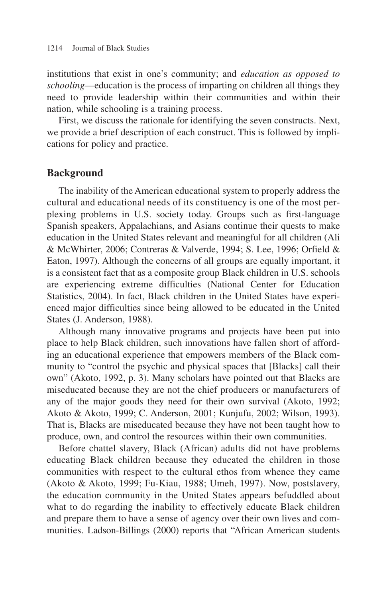institutions that exist in one's community; and *education as opposed to schooling*—education is the process of imparting on children all things they need to provide leadership within their communities and within their nation, while schooling is a training process.

First, we discuss the rationale for identifying the seven constructs. Next, we provide a brief description of each construct. This is followed by implications for policy and practice.

#### **Background**

The inability of the American educational system to properly address the cultural and educational needs of its constituency is one of the most perplexing problems in U.S. society today. Groups such as first-language Spanish speakers, Appalachians, and Asians continue their quests to make education in the United States relevant and meaningful for all children (Ali & McWhirter, 2006; Contreras & Valverde, 1994; S. Lee, 1996; Orfield & Eaton, 1997). Although the concerns of all groups are equally important, it is a consistent fact that as a composite group Black children in U.S. schools are experiencing extreme difficulties (National Center for Education Statistics, 2004). In fact, Black children in the United States have experienced major difficulties since being allowed to be educated in the United States (J. Anderson, 1988).

Although many innovative programs and projects have been put into place to help Black children, such innovations have fallen short of affording an educational experience that empowers members of the Black community to "control the psychic and physical spaces that [Blacks] call their own" (Akoto, 1992, p. 3). Many scholars have pointed out that Blacks are miseducated because they are not the chief producers or manufacturers of any of the major goods they need for their own survival (Akoto, 1992; Akoto & Akoto, 1999; C. Anderson, 2001; Kunjufu, 2002; Wilson, 1993). That is, Blacks are miseducated because they have not been taught how to produce, own, and control the resources within their own communities.

Before chattel slavery, Black (African) adults did not have problems educating Black children because they educated the children in those communities with respect to the cultural ethos from whence they came (Akoto & Akoto, 1999; Fu-Kiau, 1988; Umeh, 1997). Now, postslavery, the education community in the United States appears befuddled about what to do regarding the inability to effectively educate Black children and prepare them to have a sense of agency over their own lives and communities. Ladson-Billings (2000) reports that "African American students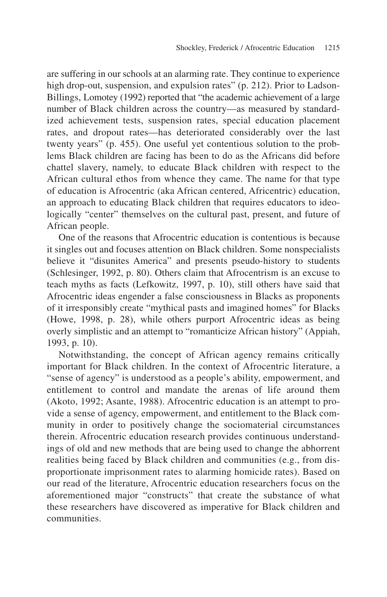are suffering in our schools at an alarming rate. They continue to experience high drop-out, suspension, and expulsion rates" (p. 212). Prior to Ladson-Billings, Lomotey (1992) reported that "the academic achievement of a large number of Black children across the country—as measured by standardized achievement tests, suspension rates, special education placement rates, and dropout rates—has deteriorated considerably over the last twenty years" (p. 455). One useful yet contentious solution to the problems Black children are facing has been to do as the Africans did before chattel slavery, namely, to educate Black children with respect to the African cultural ethos from whence they came. The name for that type of education is Afrocentric (aka African centered, Africentric) education, an approach to educating Black children that requires educators to ideologically "center" themselves on the cultural past, present, and future of African people.

One of the reasons that Afrocentric education is contentious is because it singles out and focuses attention on Black children. Some nonspecialists believe it "disunites America" and presents pseudo-history to students (Schlesinger, 1992, p. 80). Others claim that Afrocentrism is an excuse to teach myths as facts (Lefkowitz, 1997, p. 10), still others have said that Afrocentric ideas engender a false consciousness in Blacks as proponents of it irresponsibly create "mythical pasts and imagined homes" for Blacks (Howe, 1998, p. 28), while others purport Afrocentric ideas as being overly simplistic and an attempt to "romanticize African history" (Appiah, 1993, p. 10).

Notwithstanding, the concept of African agency remains critically important for Black children. In the context of Afrocentric literature, a "sense of agency" is understood as a people's ability, empowerment, and entitlement to control and mandate the arenas of life around them (Akoto, 1992; Asante, 1988). Afrocentric education is an attempt to provide a sense of agency, empowerment, and entitlement to the Black community in order to positively change the sociomaterial circumstances therein. Afrocentric education research provides continuous understandings of old and new methods that are being used to change the abhorrent realities being faced by Black children and communities (e.g., from disproportionate imprisonment rates to alarming homicide rates). Based on our read of the literature, Afrocentric education researchers focus on the aforementioned major "constructs" that create the substance of what these researchers have discovered as imperative for Black children and communities.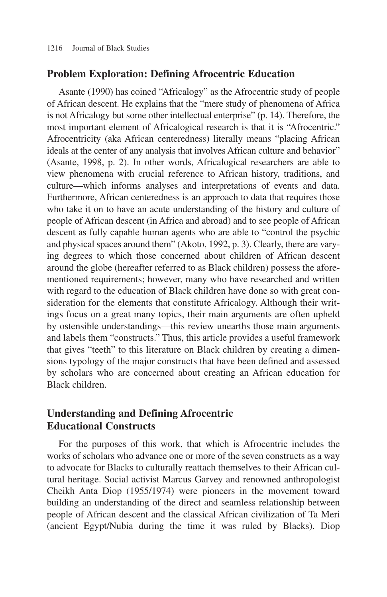#### **Problem Exploration: Defining Afrocentric Education**

Asante (1990) has coined "Africalogy" as the Afrocentric study of people of African descent. He explains that the "mere study of phenomena of Africa is not Africalogy but some other intellectual enterprise" (p. 14). Therefore, the most important element of Africalogical research is that it is "Afrocentric." Afrocentricity (aka African centeredness) literally means "placing African ideals at the center of any analysis that involves African culture and behavior" (Asante, 1998, p. 2). In other words, Africalogical researchers are able to view phenomena with crucial reference to African history, traditions, and culture—which informs analyses and interpretations of events and data. Furthermore, African centeredness is an approach to data that requires those who take it on to have an acute understanding of the history and culture of people of African descent (in Africa and abroad) and to see people of African descent as fully capable human agents who are able to "control the psychic and physical spaces around them" (Akoto, 1992, p. 3). Clearly, there are varying degrees to which those concerned about children of African descent around the globe (hereafter referred to as Black children) possess the aforementioned requirements; however, many who have researched and written with regard to the education of Black children have done so with great consideration for the elements that constitute Africalogy. Although their writings focus on a great many topics, their main arguments are often upheld by ostensible understandings—this review unearths those main arguments and labels them "constructs." Thus, this article provides a useful framework that gives "teeth" to this literature on Black children by creating a dimensions typology of the major constructs that have been defined and assessed by scholars who are concerned about creating an African education for Black children.

## **Understanding and Defining Afrocentric Educational Constructs**

For the purposes of this work, that which is Afrocentric includes the works of scholars who advance one or more of the seven constructs as a way to advocate for Blacks to culturally reattach themselves to their African cultural heritage. Social activist Marcus Garvey and renowned anthropologist Cheikh Anta Diop (1955/1974) were pioneers in the movement toward building an understanding of the direct and seamless relationship between people of African descent and the classical African civilization of Ta Meri (ancient Egypt/Nubia during the time it was ruled by Blacks). Diop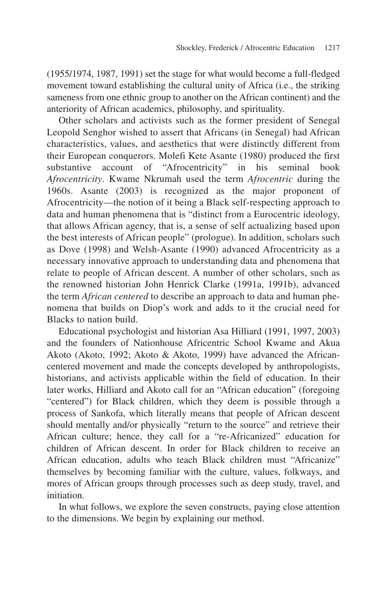(1955/1974, 1987, 1991) set the stage for what would become a full-fledged movement toward establishing the cultural unity of Africa (i.e., the striking sameness from one ethnic group to another on the African continent) and the anteriority of African academics, philosophy, and spirituality.

Other scholars and activists such as the former president of Senegal Leopold Senghor wished to assert that Africans (in Senegal) had African characteristics, values, and aesthetics that were distinctly different from their European conquerors. Molefi Kete Asante (1980) produced the first substantive account of "Afrocentricity" in his seminal book *Afrocentricity*. Kwame Nkrumah used the term *Afrocentric* during the 1960s. Asante (2003) is recognized as the major proponent of Afrocentricity—the notion of it being a Black self-respecting approach to data and human phenomena that is "distinct from a Eurocentric ideology, that allows African agency, that is, a sense of self actualizing based upon the best interests of African people" (prologue). In addition, scholars such as Dove (1998) and Welsh-Asante (1990) advanced Afrocentricity as a necessary innovative approach to understanding data and phenomena that relate to people of African descent. A number of other scholars, such as the renowned historian John Henrick Clarke (1991a, 1991b), advanced the term *African centered* to describe an approach to data and human phenomena that builds on Diop's work and adds to it the crucial need for Blacks to nation build.

Educational psychologist and historian Asa Hilliard (1991, 1997, 2003) and the founders of Nationhouse Africentric School Kwame and Akua Akoto (Akoto, 1992; Akoto & Akoto, 1999) have advanced the Africancentered movement and made the concepts developed by anthropologists, historians, and activists applicable within the field of education. In their later works, Hilliard and Akoto call for an "African education" (foregoing "centered") for Black children, which they deem is possible through a process of Sankofa, which literally means that people of African descent should mentally and/or physically "return to the source" and retrieve their African culture; hence, they call for a "re-Africanized" education for children of African descent. In order for Black children to receive an African education, adults who teach Black children must "Africanize" themselves by becoming familiar with the culture, values, folkways, and mores of African groups through processes such as deep study, travel, and initiation.

In what follows, we explore the seven constructs, paying close attention to the dimensions. We begin by explaining our method.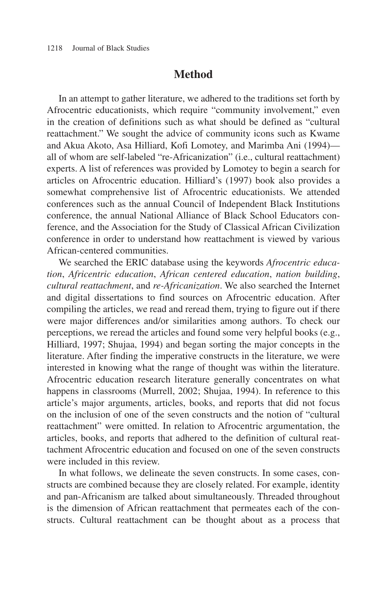## **Method**

In an attempt to gather literature, we adhered to the traditions set forth by Afrocentric educationists, which require "community involvement," even in the creation of definitions such as what should be defined as "cultural reattachment." We sought the advice of community icons such as Kwame and Akua Akoto, Asa Hilliard, Kofi Lomotey, and Marimba Ani (1994) all of whom are self-labeled "re-Africanization" (i.e., cultural reattachment) experts. A list of references was provided by Lomotey to begin a search for articles on Afrocentric education. Hilliard's (1997) book also provides a somewhat comprehensive list of Afrocentric educationists. We attended conferences such as the annual Council of Independent Black Institutions conference, the annual National Alliance of Black School Educators conference, and the Association for the Study of Classical African Civilization conference in order to understand how reattachment is viewed by various African-centered communities.

We searched the ERIC database using the keywords *Afrocentric education*, *Africentric education*, *African centered education*, *nation building*, *cultural reattachment*, and *re-Africanization*. We also searched the Internet and digital dissertations to find sources on Afrocentric education. After compiling the articles, we read and reread them, trying to figure out if there were major differences and/or similarities among authors. To check our perceptions, we reread the articles and found some very helpful books (e.g., Hilliard, 1997; Shujaa, 1994) and began sorting the major concepts in the literature. After finding the imperative constructs in the literature, we were interested in knowing what the range of thought was within the literature. Afrocentric education research literature generally concentrates on what happens in classrooms (Murrell, 2002; Shujaa, 1994). In reference to this article's major arguments, articles, books, and reports that did not focus on the inclusion of one of the seven constructs and the notion of "cultural reattachment" were omitted. In relation to Afrocentric argumentation, the articles, books, and reports that adhered to the definition of cultural reattachment Afrocentric education and focused on one of the seven constructs were included in this review.

In what follows, we delineate the seven constructs. In some cases, constructs are combined because they are closely related. For example, identity and pan-Africanism are talked about simultaneously. Threaded throughout is the dimension of African reattachment that permeates each of the constructs. Cultural reattachment can be thought about as a process that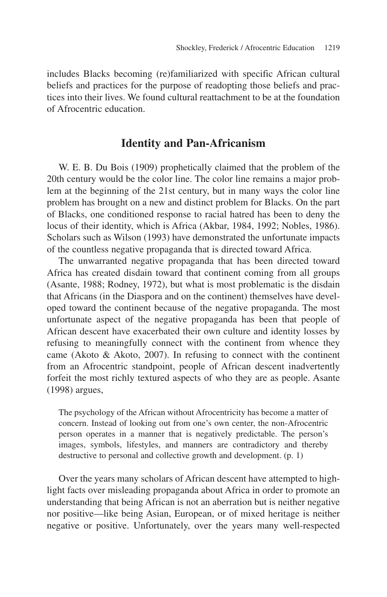includes Blacks becoming (re)familiarized with specific African cultural beliefs and practices for the purpose of readopting those beliefs and practices into their lives. We found cultural reattachment to be at the foundation of Afrocentric education.

#### **Identity and Pan-Africanism**

W. E. B. Du Bois (1909) prophetically claimed that the problem of the 20th century would be the color line. The color line remains a major problem at the beginning of the 21st century, but in many ways the color line problem has brought on a new and distinct problem for Blacks. On the part of Blacks, one conditioned response to racial hatred has been to deny the locus of their identity, which is Africa (Akbar, 1984, 1992; Nobles, 1986). Scholars such as Wilson (1993) have demonstrated the unfortunate impacts of the countless negative propaganda that is directed toward Africa.

The unwarranted negative propaganda that has been directed toward Africa has created disdain toward that continent coming from all groups (Asante, 1988; Rodney, 1972), but what is most problematic is the disdain that Africans (in the Diaspora and on the continent) themselves have developed toward the continent because of the negative propaganda. The most unfortunate aspect of the negative propaganda has been that people of African descent have exacerbated their own culture and identity losses by refusing to meaningfully connect with the continent from whence they came (Akoto & Akoto, 2007). In refusing to connect with the continent from an Afrocentric standpoint, people of African descent inadvertently forfeit the most richly textured aspects of who they are as people. Asante (1998) argues,

The psychology of the African without Afrocentricity has become a matter of concern. Instead of looking out from one's own center, the non-Afrocentric person operates in a manner that is negatively predictable. The person's images, symbols, lifestyles, and manners are contradictory and thereby destructive to personal and collective growth and development. (p. 1)

Over the years many scholars of African descent have attempted to highlight facts over misleading propaganda about Africa in order to promote an understanding that being African is not an aberration but is neither negative nor positive—like being Asian, European, or of mixed heritage is neither negative or positive. Unfortunately, over the years many well-respected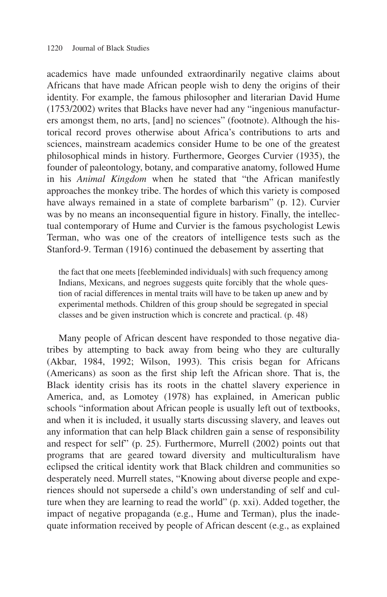academics have made unfounded extraordinarily negative claims about Africans that have made African people wish to deny the origins of their identity. For example, the famous philosopher and literarian David Hume (1753/2002) writes that Blacks have never had any "ingenious manufacturers amongst them, no arts, [and] no sciences" (footnote). Although the historical record proves otherwise about Africa's contributions to arts and sciences, mainstream academics consider Hume to be one of the greatest philosophical minds in history. Furthermore, Georges Curvier (1935), the founder of paleontology, botany, and comparative anatomy, followed Hume in his *Animal Kingdom* when he stated that "the African manifestly approaches the monkey tribe. The hordes of which this variety is composed have always remained in a state of complete barbarism" (p. 12). Curvier was by no means an inconsequential figure in history. Finally, the intellectual contemporary of Hume and Curvier is the famous psychologist Lewis Terman, who was one of the creators of intelligence tests such as the Stanford-9. Terman (1916) continued the debasement by asserting that

the fact that one meets [feebleminded individuals] with such frequency among Indians, Mexicans, and negroes suggests quite forcibly that the whole question of racial differences in mental traits will have to be taken up anew and by experimental methods. Children of this group should be segregated in special classes and be given instruction which is concrete and practical. (p. 48)

Many people of African descent have responded to those negative diatribes by attempting to back away from being who they are culturally (Akbar, 1984, 1992; Wilson, 1993). This crisis began for Africans (Americans) as soon as the first ship left the African shore. That is, the Black identity crisis has its roots in the chattel slavery experience in America, and, as Lomotey (1978) has explained, in American public schools "information about African people is usually left out of textbooks, and when it is included, it usually starts discussing slavery, and leaves out any information that can help Black children gain a sense of responsibility and respect for self" (p. 25). Furthermore, Murrell (2002) points out that programs that are geared toward diversity and multiculturalism have eclipsed the critical identity work that Black children and communities so desperately need. Murrell states, "Knowing about diverse people and experiences should not supersede a child's own understanding of self and culture when they are learning to read the world" (p. xxi). Added together, the impact of negative propaganda (e.g., Hume and Terman), plus the inadequate information received by people of African descent (e.g., as explained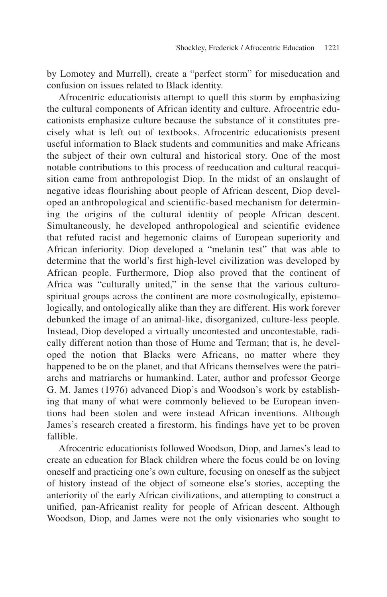by Lomotey and Murrell), create a "perfect storm" for miseducation and confusion on issues related to Black identity.

Afrocentric educationists attempt to quell this storm by emphasizing the cultural components of African identity and culture. Afrocentric educationists emphasize culture because the substance of it constitutes precisely what is left out of textbooks. Afrocentric educationists present useful information to Black students and communities and make Africans the subject of their own cultural and historical story. One of the most notable contributions to this process of reeducation and cultural reacquisition came from anthropologist Diop. In the midst of an onslaught of negative ideas flourishing about people of African descent, Diop developed an anthropological and scientific-based mechanism for determining the origins of the cultural identity of people African descent. Simultaneously, he developed anthropological and scientific evidence that refuted racist and hegemonic claims of European superiority and African inferiority. Diop developed a "melanin test" that was able to determine that the world's first high-level civilization was developed by African people. Furthermore, Diop also proved that the continent of Africa was "culturally united," in the sense that the various culturospiritual groups across the continent are more cosmologically, epistemologically, and ontologically alike than they are different. His work forever debunked the image of an animal-like, disorganized, culture-less people. Instead, Diop developed a virtually uncontested and uncontestable, radically different notion than those of Hume and Terman; that is, he developed the notion that Blacks were Africans, no matter where they happened to be on the planet, and that Africans themselves were the patriarchs and matriarchs or humankind. Later, author and professor George G. M. James (1976) advanced Diop's and Woodson's work by establishing that many of what were commonly believed to be European inventions had been stolen and were instead African inventions. Although James's research created a firestorm, his findings have yet to be proven fallible.

Afrocentric educationists followed Woodson, Diop, and James's lead to create an education for Black children where the focus could be on loving oneself and practicing one's own culture, focusing on oneself as the subject of history instead of the object of someone else's stories, accepting the anteriority of the early African civilizations, and attempting to construct a unified, pan-Africanist reality for people of African descent. Although Woodson, Diop, and James were not the only visionaries who sought to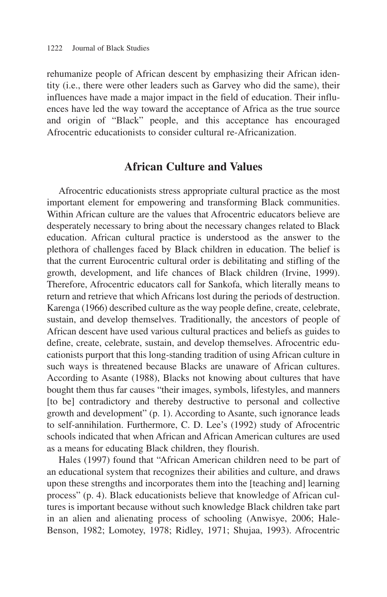rehumanize people of African descent by emphasizing their African identity (i.e., there were other leaders such as Garvey who did the same), their influences have made a major impact in the field of education. Their influences have led the way toward the acceptance of Africa as the true source and origin of "Black" people, and this acceptance has encouraged Afrocentric educationists to consider cultural re-Africanization.

#### **African Culture and Values**

Afrocentric educationists stress appropriate cultural practice as the most important element for empowering and transforming Black communities. Within African culture are the values that Afrocentric educators believe are desperately necessary to bring about the necessary changes related to Black education. African cultural practice is understood as the answer to the plethora of challenges faced by Black children in education. The belief is that the current Eurocentric cultural order is debilitating and stifling of the growth, development, and life chances of Black children (Irvine, 1999). Therefore, Afrocentric educators call for Sankofa, which literally means to return and retrieve that which Africans lost during the periods of destruction. Karenga (1966) described culture as the way people define, create, celebrate, sustain, and develop themselves. Traditionally, the ancestors of people of African descent have used various cultural practices and beliefs as guides to define, create, celebrate, sustain, and develop themselves. Afrocentric educationists purport that this long-standing tradition of using African culture in such ways is threatened because Blacks are unaware of African cultures. According to Asante (1988), Blacks not knowing about cultures that have bought them thus far causes "their images, symbols, lifestyles, and manners [to be] contradictory and thereby destructive to personal and collective growth and development" (p. 1). According to Asante, such ignorance leads to self-annihilation. Furthermore, C. D. Lee's (1992) study of Afrocentric schools indicated that when African and African American cultures are used as a means for educating Black children, they flourish.

Hales (1997) found that "African American children need to be part of an educational system that recognizes their abilities and culture, and draws upon these strengths and incorporates them into the [teaching and] learning process" (p. 4). Black educationists believe that knowledge of African cultures is important because without such knowledge Black children take part in an alien and alienating process of schooling (Anwisye, 2006; Hale-Benson, 1982; Lomotey, 1978; Ridley, 1971; Shujaa, 1993). Afrocentric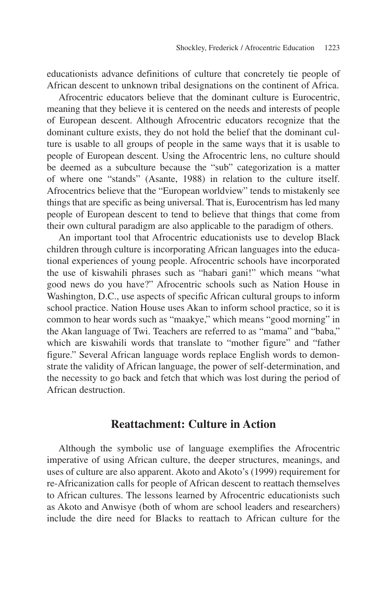educationists advance definitions of culture that concretely tie people of African descent to unknown tribal designations on the continent of Africa.

Afrocentric educators believe that the dominant culture is Eurocentric, meaning that they believe it is centered on the needs and interests of people of European descent. Although Afrocentric educators recognize that the dominant culture exists, they do not hold the belief that the dominant culture is usable to all groups of people in the same ways that it is usable to people of European descent. Using the Afrocentric lens, no culture should be deemed as a subculture because the "sub" categorization is a matter of where one "stands" (Asante, 1988) in relation to the culture itself. Afrocentrics believe that the "European worldview" tends to mistakenly see things that are specific as being universal. That is, Eurocentrism has led many people of European descent to tend to believe that things that come from their own cultural paradigm are also applicable to the paradigm of others.

An important tool that Afrocentric educationists use to develop Black children through culture is incorporating African languages into the educational experiences of young people. Afrocentric schools have incorporated the use of kiswahili phrases such as "habari gani!" which means "what good news do you have?" Afrocentric schools such as Nation House in Washington, D.C., use aspects of specific African cultural groups to inform school practice. Nation House uses Akan to inform school practice, so it is common to hear words such as "maakye," which means "good morning" in the Akan language of Twi. Teachers are referred to as "mama" and "baba," which are kiswahili words that translate to "mother figure" and "father figure." Several African language words replace English words to demonstrate the validity of African language, the power of self-determination, and the necessity to go back and fetch that which was lost during the period of African destruction.

#### **Reattachment: Culture in Action**

Although the symbolic use of language exemplifies the Afrocentric imperative of using African culture, the deeper structures, meanings, and uses of culture are also apparent. Akoto and Akoto's (1999) requirement for re-Africanization calls for people of African descent to reattach themselves to African cultures. The lessons learned by Afrocentric educationists such as Akoto and Anwisye (both of whom are school leaders and researchers) include the dire need for Blacks to reattach to African culture for the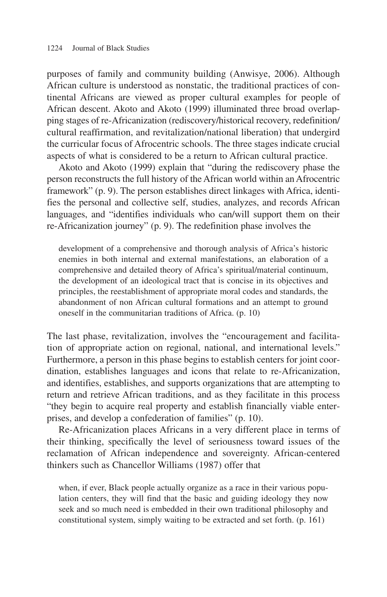purposes of family and community building (Anwisye, 2006). Although African culture is understood as nonstatic, the traditional practices of continental Africans are viewed as proper cultural examples for people of African descent. Akoto and Akoto (1999) illuminated three broad overlapping stages of re-Africanization (rediscovery/historical recovery, redefinition/ cultural reaffirmation, and revitalization/national liberation) that undergird the curricular focus of Afrocentric schools. The three stages indicate crucial aspects of what is considered to be a return to African cultural practice.

Akoto and Akoto (1999) explain that "during the rediscovery phase the person reconstructs the full history of the African world within an Afrocentric framework" (p. 9). The person establishes direct linkages with Africa, identifies the personal and collective self, studies, analyzes, and records African languages, and "identifies individuals who can/will support them on their re-Africanization journey" (p. 9). The redefinition phase involves the

development of a comprehensive and thorough analysis of Africa's historic enemies in both internal and external manifestations, an elaboration of a comprehensive and detailed theory of Africa's spiritual/material continuum, the development of an ideological tract that is concise in its objectives and principles, the reestablishment of appropriate moral codes and standards, the abandonment of non African cultural formations and an attempt to ground oneself in the communitarian traditions of Africa. (p. 10)

The last phase, revitalization, involves the "encouragement and facilitation of appropriate action on regional, national, and international levels." Furthermore, a person in this phase begins to establish centers for joint coordination, establishes languages and icons that relate to re-Africanization, and identifies, establishes, and supports organizations that are attempting to return and retrieve African traditions, and as they facilitate in this process "they begin to acquire real property and establish financially viable enterprises, and develop a confederation of families" (p. 10).

Re-Africanization places Africans in a very different place in terms of their thinking, specifically the level of seriousness toward issues of the reclamation of African independence and sovereignty. African-centered thinkers such as Chancellor Williams (1987) offer that

when, if ever, Black people actually organize as a race in their various population centers, they will find that the basic and guiding ideology they now seek and so much need is embedded in their own traditional philosophy and constitutional system, simply waiting to be extracted and set forth. (p. 161)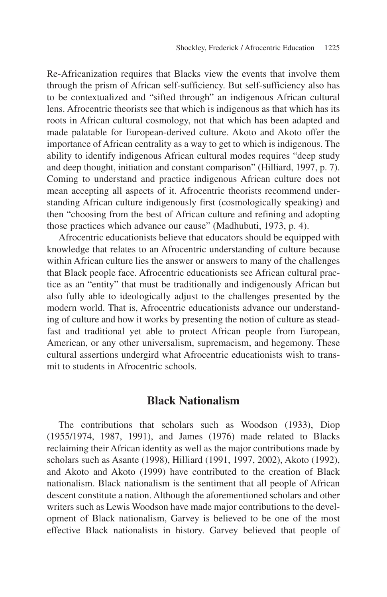Re-Africanization requires that Blacks view the events that involve them through the prism of African self-sufficiency. But self-sufficiency also has to be contextualized and "sifted through" an indigenous African cultural lens. Afrocentric theorists see that which is indigenous as that which has its roots in African cultural cosmology, not that which has been adapted and made palatable for European-derived culture. Akoto and Akoto offer the importance of African centrality as a way to get to which is indigenous. The ability to identify indigenous African cultural modes requires "deep study and deep thought, initiation and constant comparison" (Hilliard, 1997, p. 7). Coming to understand and practice indigenous African culture does not mean accepting all aspects of it. Afrocentric theorists recommend understanding African culture indigenously first (cosmologically speaking) and then "choosing from the best of African culture and refining and adopting those practices which advance our cause" (Madhubuti, 1973, p. 4).

Afrocentric educationists believe that educators should be equipped with knowledge that relates to an Afrocentric understanding of culture because within African culture lies the answer or answers to many of the challenges that Black people face. Afrocentric educationists see African cultural practice as an "entity" that must be traditionally and indigenously African but also fully able to ideologically adjust to the challenges presented by the modern world. That is, Afrocentric educationists advance our understanding of culture and how it works by presenting the notion of culture as steadfast and traditional yet able to protect African people from European, American, or any other universalism, supremacism, and hegemony. These cultural assertions undergird what Afrocentric educationists wish to transmit to students in Afrocentric schools.

#### **Black Nationalism**

The contributions that scholars such as Woodson (1933), Diop (1955/1974, 1987, 1991), and James (1976) made related to Blacks reclaiming their African identity as well as the major contributions made by scholars such as Asante (1998), Hilliard (1991, 1997, 2002), Akoto (1992), and Akoto and Akoto (1999) have contributed to the creation of Black nationalism. Black nationalism is the sentiment that all people of African descent constitute a nation. Although the aforementioned scholars and other writers such as Lewis Woodson have made major contributions to the development of Black nationalism, Garvey is believed to be one of the most effective Black nationalists in history. Garvey believed that people of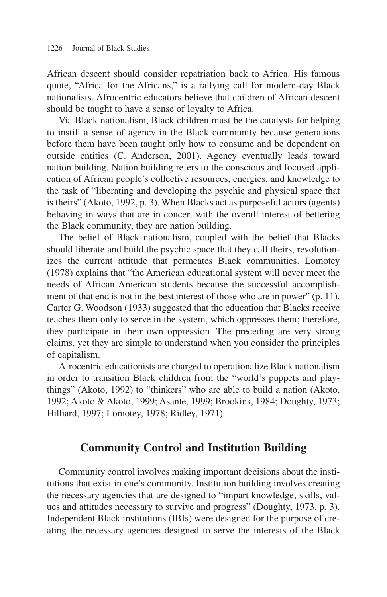African descent should consider repatriation back to Africa. His famous quote, "Africa for the Africans," is a rallying call for modern-day Black nationalists. Afrocentric educators believe that children of African descent should be taught to have a sense of loyalty to Africa.

Via Black nationalism, Black children must be the catalysts for helping to instill a sense of agency in the Black community because generations before them have been taught only how to consume and be dependent on outside entities (C. Anderson, 2001). Agency eventually leads toward nation building. Nation building refers to the conscious and focused application of African people's collective resources, energies, and knowledge to the task of "liberating and developing the psychic and physical space that is theirs" (Akoto, 1992, p. 3). When Blacks act as purposeful actors (agents) behaving in ways that are in concert with the overall interest of bettering the Black community, they are nation building.

The belief of Black nationalism, coupled with the belief that Blacks should liberate and build the psychic space that they call theirs, revolutionizes the current attitude that permeates Black communities. Lomotey (1978) explains that "the American educational system will never meet the needs of African American students because the successful accomplishment of that end is not in the best interest of those who are in power" (p. 11). Carter G. Woodson (1933) suggested that the education that Blacks receive teaches them only to serve in the system, which oppresses them; therefore, they participate in their own oppression. The preceding are very strong claims, yet they are simple to understand when you consider the principles of capitalism.

Afrocentric educationists are charged to operationalize Black nationalism in order to transition Black children from the "world's puppets and playthings" (Akoto, 1992) to "thinkers" who are able to build a nation (Akoto, 1992; Akoto & Akoto, 1999; Asante, 1999; Brookins, 1984; Doughty, 1973; Hilliard, 1997; Lomotey, 1978; Ridley, 1971).

## **Community Control and Institution Building**

Community control involves making important decisions about the institutions that exist in one's community. Institution building involves creating the necessary agencies that are designed to "impart knowledge, skills, values and attitudes necessary to survive and progress" (Doughty, 1973, p. 3). Independent Black institutions (IBIs) were designed for the purpose of creating the necessary agencies designed to serve the interests of the Black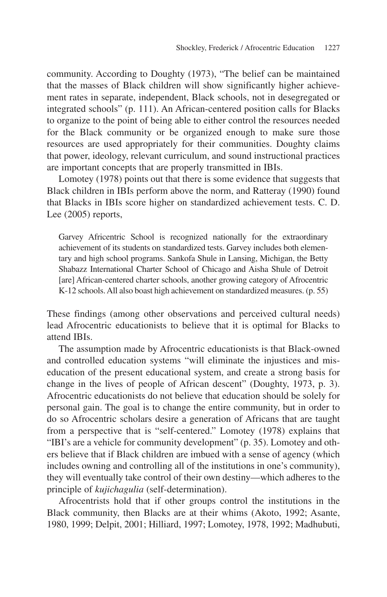community. According to Doughty (1973), "The belief can be maintained that the masses of Black children will show significantly higher achievement rates in separate, independent, Black schools, not in desegregated or integrated schools" (p. 111). An African-centered position calls for Blacks to organize to the point of being able to either control the resources needed for the Black community or be organized enough to make sure those resources are used appropriately for their communities. Doughty claims that power, ideology, relevant curriculum, and sound instructional practices are important concepts that are properly transmitted in IBIs.

Lomotey (1978) points out that there is some evidence that suggests that Black children in IBIs perform above the norm, and Ratteray (1990) found that Blacks in IBIs score higher on standardized achievement tests. C. D. Lee (2005) reports,

Garvey Africentric School is recognized nationally for the extraordinary achievement of its students on standardized tests. Garvey includes both elementary and high school programs. Sankofa Shule in Lansing, Michigan, the Betty Shabazz International Charter School of Chicago and Aisha Shule of Detroit [are] African-centered charter schools, another growing category of Afrocentric K-12 schools. All also boast high achievement on standardized measures. (p. 55)

These findings (among other observations and perceived cultural needs) lead Afrocentric educationists to believe that it is optimal for Blacks to attend IBIs.

The assumption made by Afrocentric educationists is that Black-owned and controlled education systems "will eliminate the injustices and miseducation of the present educational system, and create a strong basis for change in the lives of people of African descent" (Doughty, 1973, p. 3). Afrocentric educationists do not believe that education should be solely for personal gain. The goal is to change the entire community, but in order to do so Afrocentric scholars desire a generation of Africans that are taught from a perspective that is "self-centered." Lomotey (1978) explains that "IBI's are a vehicle for community development" (p. 35). Lomotey and others believe that if Black children are imbued with a sense of agency (which includes owning and controlling all of the institutions in one's community), they will eventually take control of their own destiny—which adheres to the principle of *kujichagulia* (self-determination).

Afrocentrists hold that if other groups control the institutions in the Black community, then Blacks are at their whims (Akoto, 1992; Asante, 1980, 1999; Delpit, 2001; Hilliard, 1997; Lomotey, 1978, 1992; Madhubuti,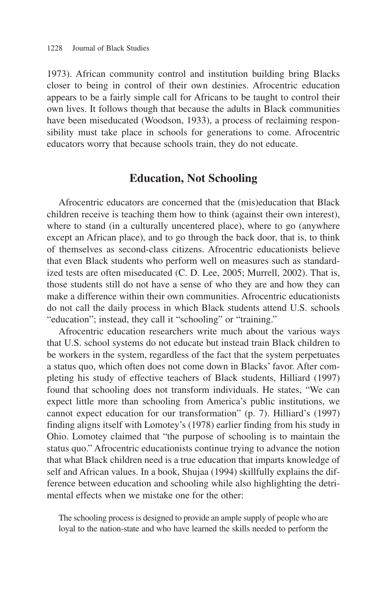1973). African community control and institution building bring Blacks closer to being in control of their own destinies. Afrocentric education appears to be a fairly simple call for Africans to be taught to control their own lives. It follows though that because the adults in Black communities have been miseducated (Woodson, 1933), a process of reclaiming responsibility must take place in schools for generations to come. Afrocentric educators worry that because schools train, they do not educate.

#### **Education, Not Schooling**

Afrocentric educators are concerned that the (mis)education that Black children receive is teaching them how to think (against their own interest), where to stand (in a culturally uncentered place), where to go (anywhere except an African place), and to go through the back door, that is, to think of themselves as second-class citizens. Afrocentric educationists believe that even Black students who perform well on measures such as standardized tests are often miseducated (C. D. Lee, 2005; Murrell, 2002). That is, those students still do not have a sense of who they are and how they can make a difference within their own communities. Afrocentric educationists do not call the daily process in which Black students attend U.S. schools "education"; instead, they call it "schooling" or "training."

Afrocentric education researchers write much about the various ways that U.S. school systems do not educate but instead train Black children to be workers in the system, regardless of the fact that the system perpetuates a status quo, which often does not come down in Blacks' favor. After completing his study of effective teachers of Black students, Hilliard (1997) found that schooling does not transform individuals. He states, "We can expect little more than schooling from America's public institutions, we cannot expect education for our transformation" (p. 7). Hilliard's (1997) finding aligns itself with Lomotey's (1978) earlier finding from his study in Ohio. Lomotey claimed that "the purpose of schooling is to maintain the status quo." Afrocentric educationists continue trying to advance the notion that what Black children need is a true education that imparts knowledge of self and African values. In a book, Shujaa (1994) skillfully explains the difference between education and schooling while also highlighting the detrimental effects when we mistake one for the other:

The schooling process is designed to provide an ample supply of people who are loyal to the nation-state and who have learned the skills needed to perform the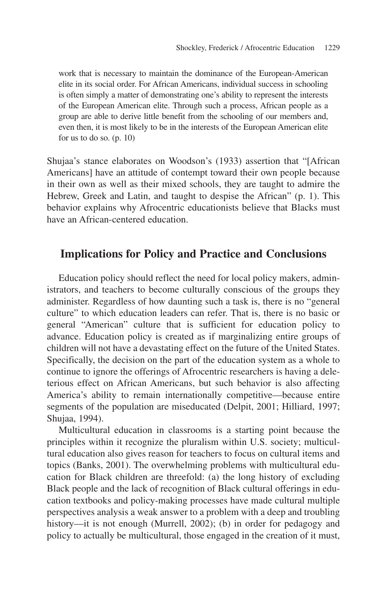work that is necessary to maintain the dominance of the European-American elite in its social order. For African Americans, individual success in schooling is often simply a matter of demonstrating one's ability to represent the interests of the European American elite. Through such a process, African people as a group are able to derive little benefit from the schooling of our members and, even then, it is most likely to be in the interests of the European American elite for us to do so. (p. 10)

Shujaa's stance elaborates on Woodson's (1933) assertion that "[African Americans] have an attitude of contempt toward their own people because in their own as well as their mixed schools, they are taught to admire the Hebrew, Greek and Latin, and taught to despise the African" (p. 1). This behavior explains why Afrocentric educationists believe that Blacks must have an African-centered education.

## **Implications for Policy and Practice and Conclusions**

Education policy should reflect the need for local policy makers, administrators, and teachers to become culturally conscious of the groups they administer. Regardless of how daunting such a task is, there is no "general culture" to which education leaders can refer. That is, there is no basic or general "American" culture that is sufficient for education policy to advance. Education policy is created as if marginalizing entire groups of children will not have a devastating effect on the future of the United States. Specifically, the decision on the part of the education system as a whole to continue to ignore the offerings of Afrocentric researchers is having a deleterious effect on African Americans, but such behavior is also affecting America's ability to remain internationally competitive—because entire segments of the population are miseducated (Delpit, 2001; Hilliard, 1997; Shujaa, 1994).

Multicultural education in classrooms is a starting point because the principles within it recognize the pluralism within U.S. society; multicultural education also gives reason for teachers to focus on cultural items and topics (Banks, 2001). The overwhelming problems with multicultural education for Black children are threefold: (a) the long history of excluding Black people and the lack of recognition of Black cultural offerings in education textbooks and policy-making processes have made cultural multiple perspectives analysis a weak answer to a problem with a deep and troubling history—it is not enough (Murrell, 2002); (b) in order for pedagogy and policy to actually be multicultural, those engaged in the creation of it must,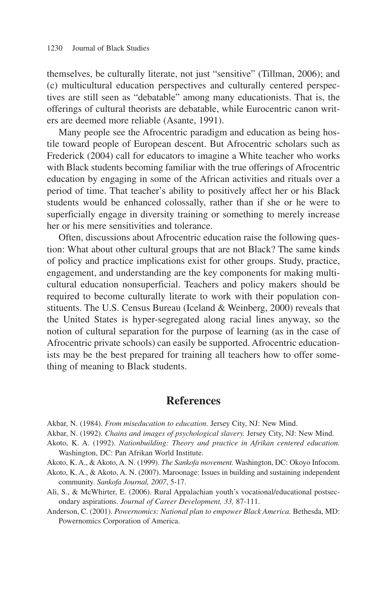themselves, be culturally literate, not just "sensitive" (Tillman, 2006); and (c) multicultural education perspectives and culturally centered perspectives are still seen as "debatable" among many educationists. That is, the offerings of cultural theorists are debatable, while Eurocentric canon writers are deemed more reliable (Asante, 1991).

Many people see the Afrocentric paradigm and education as being hostile toward people of European descent. But Afrocentric scholars such as Frederick (2004) call for educators to imagine a White teacher who works with Black students becoming familiar with the true offerings of Afrocentric education by engaging in some of the African activities and rituals over a period of time. That teacher's ability to positively affect her or his Black students would be enhanced colossally, rather than if she or he were to superficially engage in diversity training or something to merely increase her or his mere sensitivities and tolerance.

Often, discussions about Afrocentric education raise the following question: What about other cultural groups that are not Black? The same kinds of policy and practice implications exist for other groups. Study, practice, engagement, and understanding are the key components for making multicultural education nonsuperficial. Teachers and policy makers should be required to become culturally literate to work with their population constituents. The U.S. Census Bureau (Iceland & Weinberg, 2000) reveals that the United States is hyper-segregated along racial lines anyway, so the notion of cultural separation for the purpose of learning (as in the case of Afrocentric private schools) can easily be supported. Afrocentric educationists may be the best prepared for training all teachers how to offer something of meaning to Black students.

#### **References**

- Akbar, N. (1984). *From miseducation to education.* Jersey City, NJ: New Mind.
- Akbar, N. (1992). *Chains and images of psychological slavery.* Jersey City, NJ: New Mind.
- Akoto, K. A. (1992). *Nationbuilding: Theory and practice in Afrikan centered education.* Washington, DC: Pan Afrikan World Institute.
- Akoto, K. A., & Akoto, A. N. (1999). *The Sankofa movement.* Washington, DC: Okoyo Infocom.
- Akoto, K. A., & Akoto, A. N. (2007). Maroonage: Issues in building and sustaining independent community. *Sankofa Journal, 2007*, 5-17.
- Ali, S., & McWhirter, E. (2006). Rural Appalachian youth's vocational/educational postsecondary aspirations. *Journal of Career Development, 33,* 87-111.
- Anderson, C. (2001). *Powernomics: National plan to empower Black America.* Bethesda, MD: Powernomics Corporation of America.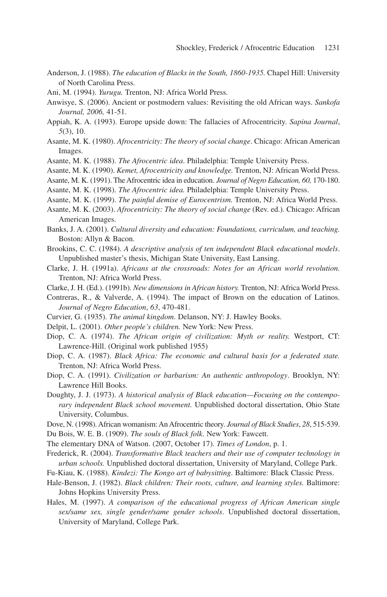- Anderson, J. (1988). *The education of Blacks in the South, 1860-1935.* Chapel Hill: University of North Carolina Press.
- Ani, M. (1994). *Yurugu.* Trenton, NJ: Africa World Press.
- Anwisye, S. (2006). Ancient or postmodern values: Revisiting the old African ways. *Sankofa Journal, 2006,* 41-51.
- Appiah, K. A. (1993). Europe upside down: The fallacies of Afrocentricity. *Sapina Journal*, *5*(3), 10.
- Asante, M. K. (1980). *Afrocentricity: The theory of social change*. Chicago: African American Images.
- Asante, M. K. (1988). *The Afrocentric idea*. Philadelphia: Temple University Press.
- Asante, M. K. (1990). *Kemet, Afrocentricity and knowledge.* Trenton, NJ: African World Press.
- Asante, M. K. (1991). The Afrocentric idea in education. *Journal of Negro Education, 60,* 170-180.
- Asante, M. K. (1998). *The Afrocentric idea.* Philadelphia: Temple University Press.
- Asante, M. K. (1999). *The painful demise of Eurocentrism.* Trenton, NJ: Africa World Press.
- Asante, M. K. (2003). *Afrocentricity: The theory of social change* (Rev. ed.)*.* Chicago: African American Images.
- Banks, J. A. (2001). *Cultural diversity and education: Foundations, curriculum, and teaching.* Boston: Allyn & Bacon.
- Brookins, C. C. (1984). *A descriptive analysis of ten independent Black educational models*. Unpublished master's thesis, Michigan State University, East Lansing.
- Clarke, J. H. (1991a). *Africans at the crossroads: Notes for an African world revolution.* Trenton, NJ: Africa World Press.
- Clarke, J. H. (Ed.). (1991b). *New dimensions in African history.* Trenton, NJ: Africa World Press.
- Contreras, R., & Valverde, A. (1994). The impact of Brown on the education of Latinos. *Journal of Negro Education*, *63*, 470-481.
- Curvier, G. (1935). *The animal kingdom*. Delanson, NY: J. Hawley Books.
- Delpit, L. (2001). *Other people's children.* New York: New Press.
- Diop, C. A. (1974). *The African origin of civilization: Myth or reality.* Westport, CT: Lawrence-Hill. (Original work published 1955)
- Diop, C. A. (1987). *Black Africa: The economic and cultural basis for a federated state.* Trenton, NJ: Africa World Press.
- Diop, C. A. (1991). *Civilization or barbarism: An authentic anthropology*. Brooklyn, NY: Lawrence Hill Books.
- Doughty, J. J. (1973). *A historical analysis of Black education—Focusing on the contemporary independent Black school movement.* Unpublished doctoral dissertation, Ohio State University, Columbus.
- Dove, N. (1998). African womanism: An Afrocentric theory. *Journal of Black Studies*, *28*, 515-539.
- Du Bois, W. E. B. (1909). *The souls of Black folk*. New York: Fawcett.
- The elementary DNA of Watson. (2007, October 17). *Times of London*, p. 1.
- Frederick, R. (2004). *Transformative Black teachers and their use of computer technology in urban schools.* Unpublished doctoral dissertation, University of Maryland, College Park.
- Fu-Kiau, K. (1988). *Kindezi: The Kongo art of babysitting*. Baltimore: Black Classic Press.
- Hale-Benson, J. (1982). *Black children: Their roots, culture, and learning styles.* Baltimore: Johns Hopkins University Press.
- Hales, M. (1997). *A comparison of the educational progress of African American single sex/same sex, single gender/same gender schools*. Unpublished doctoral dissertation, University of Maryland, College Park.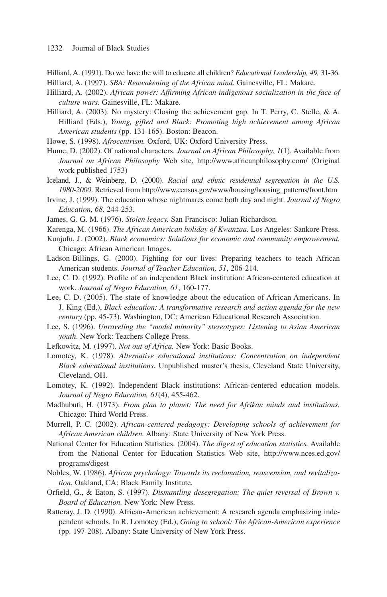Hilliard, A. (1991). Do we have the will to educate all children? *Educational Leadership, 49,* 31-36.

Hilliard, A. (1997). *SBA: Reawakening of the African mind.* Gainesville, FL: Makare.

- Hilliard, A. (2002). *African power: Affirming African indigenous socialization in the face of culture wars.* Gainesville, FL: Makare.
- Hilliard, A. (2003). No mystery: Closing the achievement gap. In T. Perry, C. Stelle, & A. Hilliard (Eds.), *Young, gifted and Black: Promoting high achievement among African American students* (pp. 131-165). Boston: Beacon.
- Howe, S. (1998). *Afrocentrism.* Oxford, UK: Oxford University Press.
- Hume, D. (2002). Of national characters. *Journal on African Philosophy*, *1*(1). Available from *Journal on African Philosophy* Web site, http://www.africanphilosophy.com/ (Original work published 1753)
- Iceland, J., & Weinberg, D. (2000). *Racial and ethnic residential segregation in the U.S. 1980-2000*. Retrieved from http://www.census.gov/www/housing/housing\_patterns/front.htm
- Irvine, J. (1999). The education whose nightmares come both day and night. *Journal of Negro Education*, *68,* 244-253.
- James, G. G. M. (1976). *Stolen legacy.* San Francisco: Julian Richardson.
- Karenga, M. (1966). *The African American holiday of Kwanzaa.* Los Angeles: Sankore Press.
- Kunjufu, J. (2002). *Black economics: Solutions for economic and community empowerment.* Chicago: African American Images.
- Ladson-Billings, G. (2000). Fighting for our lives: Preparing teachers to teach African American students. *Journal of Teacher Education, 51*, 206-214.
- Lee, C. D. (1992). Profile of an independent Black institution: African-centered education at work. *Journal of Negro Education, 61*, 160-177.
- Lee, C. D. (2005). The state of knowledge about the education of African Americans. In J. King (Ed.), *Black education: A transformative research and action agenda for the new century* (pp. 45-73). Washington, DC: American Educational Research Association.
- Lee, S. (1996). *Unraveling the "model minority" stereotypes: Listening to Asian American youth*. New York: Teachers College Press.
- Lefkowitz, M. (1997). *Not out of Africa.* New York: Basic Books.
- Lomotey, K. (1978). *Alternative educational institutions: Concentration on independent Black educational institutions.* Unpublished master's thesis, Cleveland State University, Cleveland, OH.
- Lomotey, K. (1992). Independent Black institutions: African-centered education models. *Journal of Negro Education, 61*(4), 455-462.
- Madhubuti, H. (1973). *From plan to planet: The need for Afrikan minds and institutions.* Chicago: Third World Press.
- Murrell, P. C. (2002). *African-centered pedagogy: Developing schools of achievement for African American children.* Albany: State University of New York Press.
- National Center for Education Statistics. (2004). *The digest of education statistics.* Available from the National Center for Education Statistics Web site, http://www.nces.ed.gov/ programs/digest
- Nobles, W. (1986). *African psychology: Towards its reclamation, reascension, and revitalization.* Oakland, CA: Black Family Institute.
- Orfield, G., & Eaton, S. (1997). *Dismantling desegregation: The quiet reversal of Brown v. Board of Education.* New York: New Press.
- Ratteray, J. D. (1990). African-American achievement: A research agenda emphasizing independent schools. In R. Lomotey (Ed.), *Going to school: The African-American experience* (pp. 197-208). Albany: State University of New York Press.